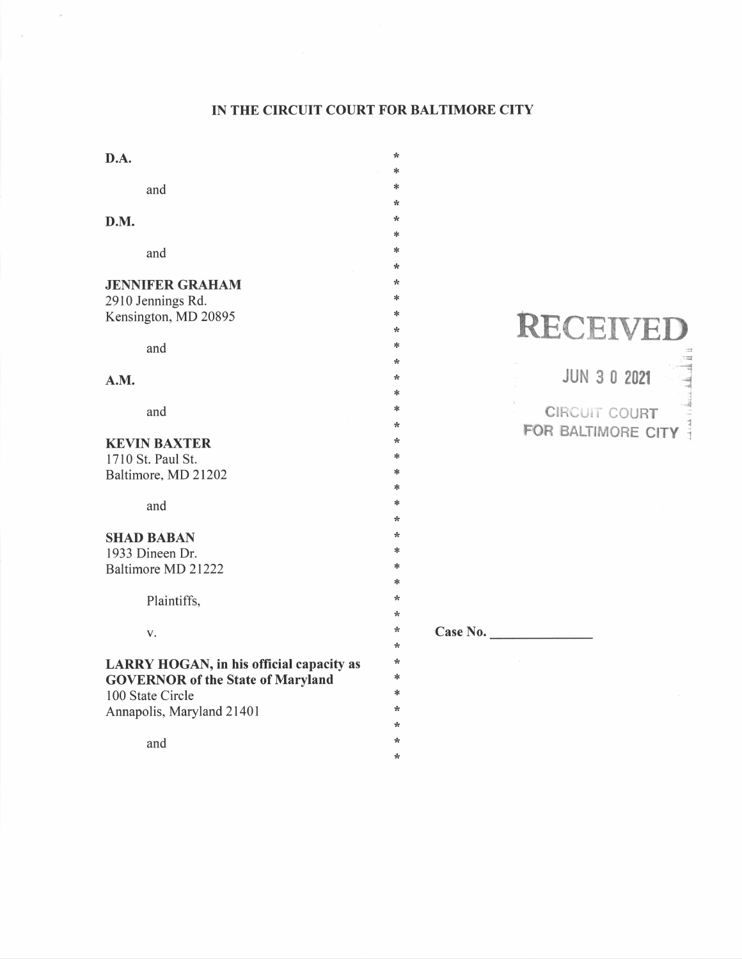## IN THE CIRCUIT COURT FOR BALTIMORE CITY

\*  $\ast$  $\ast$ 

> \*\*rF

 $\ast$  $\ast$ \*r& \*tr tN \*

> \*!N. :F i.

rF \*{.

 $\star$ \* \* \*  $\ast$ ft v Case No.

\* \*

| D.A.                                                                                                                                         |  |
|----------------------------------------------------------------------------------------------------------------------------------------------|--|
| and                                                                                                                                          |  |
| D.M.                                                                                                                                         |  |
| and                                                                                                                                          |  |
| <b>JENNIFER GRAHAM</b><br>2910 Jennings Rd.<br>Kensington, MD 20895                                                                          |  |
| and                                                                                                                                          |  |
| A.M.                                                                                                                                         |  |
| and                                                                                                                                          |  |
| <b>KEVIN BAXTER</b><br>1710 St. Paul St.<br>Baltimore, MD 21202                                                                              |  |
| and                                                                                                                                          |  |
| <b>SHAD BABAN</b><br>1933 Dineen Dr.<br>Baltimore MD 21222                                                                                   |  |
| Plaintiffs,                                                                                                                                  |  |
| V.                                                                                                                                           |  |
| LARRY HOGAN, in his official capacity as<br><b>GOVERNOR of the State of Maryland</b><br>100 State Circle<br>Annapolis, Maryland 21401<br>and |  |
|                                                                                                                                              |  |

 $\bar{\alpha}$ 

# RECEIVED

3 ;-n

JUN 3 0 20zt

1<br>1200au CIRCUIT COURT FOR BALTIMORE CITY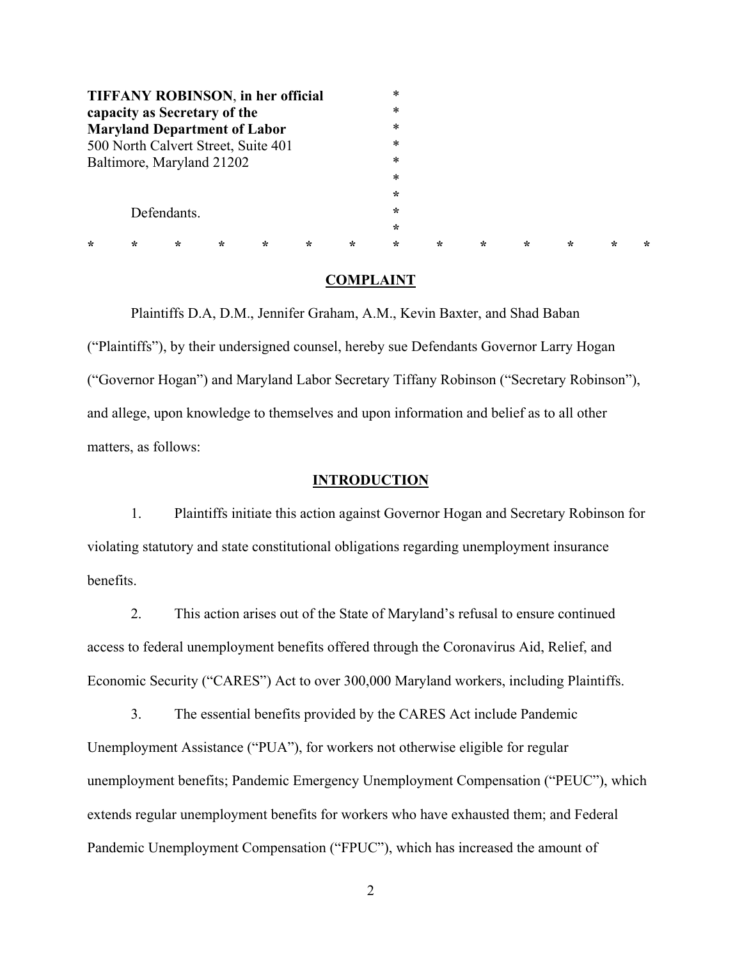|                                                                     |             |         |         | <b>TIFFANY ROBINSON, in her official</b> |         |         | $\ast$<br>* |         |         |         |         |         |         |
|---------------------------------------------------------------------|-------------|---------|---------|------------------------------------------|---------|---------|-------------|---------|---------|---------|---------|---------|---------|
| capacity as Secretary of the<br><b>Maryland Department of Labor</b> |             |         |         |                                          |         |         | *           |         |         |         |         |         |         |
| 500 North Calvert Street, Suite 401                                 |             |         |         |                                          |         |         | *           |         |         |         |         |         |         |
| Baltimore, Maryland 21202                                           |             |         |         |                                          |         |         | $\ast$      |         |         |         |         |         |         |
|                                                                     |             |         |         |                                          |         |         | *           |         |         |         |         |         |         |
|                                                                     |             |         |         |                                          |         |         | $\star$     |         |         |         |         |         |         |
|                                                                     | Defendants. |         |         |                                          |         |         | $\star$     |         |         |         |         |         |         |
|                                                                     |             |         |         |                                          |         |         | $\star$     |         |         |         |         |         |         |
| ÷                                                                   | $\star$     | $\star$ | $\star$ | $\star$                                  | $\star$ | $\star$ | $\star$     | $\star$ | $\star$ | $\star$ | $\star$ | $\star$ | $\star$ |

#### **COMPLAINT**

Plaintiffs D.A, D.M., Jennifer Graham, A.M., Kevin Baxter, and Shad Baban ("Plaintiffs"), by their undersigned counsel, hereby sue Defendants Governor Larry Hogan ("Governor Hogan") and Maryland Labor Secretary Tiffany Robinson ("Secretary Robinson"), and allege, upon knowledge to themselves and upon information and belief as to all other matters, as follows:

#### **INTRODUCTION**

1. Plaintiffs initiate this action against Governor Hogan and Secretary Robinson for violating statutory and state constitutional obligations regarding unemployment insurance benefits.

2. This action arises out of the State of Maryland's refusal to ensure continued access to federal unemployment benefits offered through the Coronavirus Aid, Relief, and Economic Security ("CARES") Act to over 300,000 Maryland workers, including Plaintiffs.

3. The essential benefits provided by the CARES Act include Pandemic Unemployment Assistance ("PUA"), for workers not otherwise eligible for regular unemployment benefits; Pandemic Emergency Unemployment Compensation ("PEUC"), which extends regular unemployment benefits for workers who have exhausted them; and Federal Pandemic Unemployment Compensation ("FPUC"), which has increased the amount of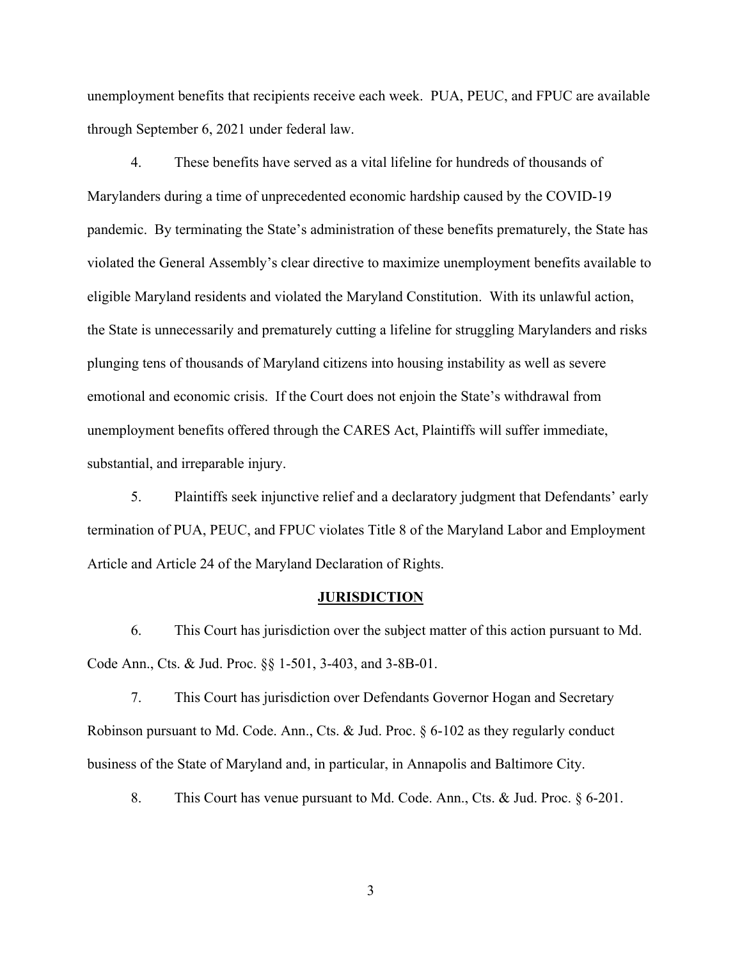unemployment benefits that recipients receive each week. PUA, PEUC, and FPUC are available through September 6, 2021 under federal law.

4. These benefits have served as a vital lifeline for hundreds of thousands of Marylanders during a time of unprecedented economic hardship caused by the COVID-19 pandemic. By terminating the State's administration of these benefits prematurely, the State has violated the General Assembly's clear directive to maximize unemployment benefits available to eligible Maryland residents and violated the Maryland Constitution. With its unlawful action, the State is unnecessarily and prematurely cutting a lifeline for struggling Marylanders and risks plunging tens of thousands of Maryland citizens into housing instability as well as severe emotional and economic crisis. If the Court does not enjoin the State's withdrawal from unemployment benefits offered through the CARES Act, Plaintiffs will suffer immediate, substantial, and irreparable injury.

5. Plaintiffs seek injunctive relief and a declaratory judgment that Defendants' early termination of PUA, PEUC, and FPUC violates Title 8 of the Maryland Labor and Employment Article and Article 24 of the Maryland Declaration of Rights.

#### **JURISDICTION**

6. This Court has jurisdiction over the subject matter of this action pursuant to Md. Code Ann., Cts. & Jud. Proc. §§ 1-501, 3-403, and 3-8B-01.

7. This Court has jurisdiction over Defendants Governor Hogan and Secretary Robinson pursuant to Md. Code. Ann., Cts. & Jud. Proc. § 6-102 as they regularly conduct business of the State of Maryland and, in particular, in Annapolis and Baltimore City.

8. This Court has venue pursuant to Md. Code. Ann., Cts. & Jud. Proc. § 6-201.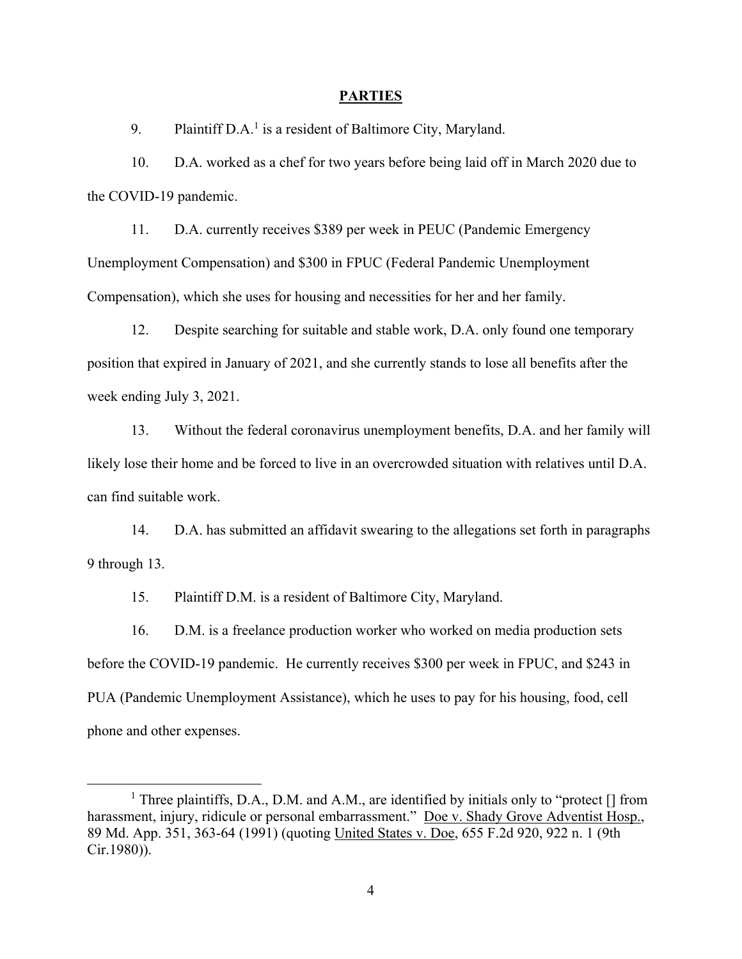#### **PARTIES**

9. Plaintiff  $D.A.^1$  is a resident of Baltimore City, Maryland.

10. D.A. worked as a chef for two years before being laid off in March 2020 due to the COVID-19 pandemic.

11. D.A. currently receives \$389 per week in PEUC (Pandemic Emergency Unemployment Compensation) and \$300 in FPUC (Federal Pandemic Unemployment Compensation), which she uses for housing and necessities for her and her family.

12. Despite searching for suitable and stable work, D.A. only found one temporary position that expired in January of 2021, and she currently stands to lose all benefits after the week ending July 3, 2021.

13. Without the federal coronavirus unemployment benefits, D.A. and her family will likely lose their home and be forced to live in an overcrowded situation with relatives until D.A. can find suitable work.

14. D.A. has submitted an affidavit swearing to the allegations set forth in paragraphs 9 through 13.

15. Plaintiff D.M. is a resident of Baltimore City, Maryland.

16. D.M. is a freelance production worker who worked on media production sets before the COVID-19 pandemic. He currently receives \$300 per week in FPUC, and \$243 in PUA (Pandemic Unemployment Assistance), which he uses to pay for his housing, food, cell phone and other expenses.

 $\overline{1}$ <sup>1</sup> Three plaintiffs, D.A., D.M. and A.M., are identified by initials only to "protect  $[]$  from harassment, injury, ridicule or personal embarrassment." Doe v. Shady Grove Adventist Hosp., 89 Md. App. 351, 363-64 (1991) (quoting United States v. Doe, 655 F.2d 920, 922 n. 1 (9th Cir.1980)).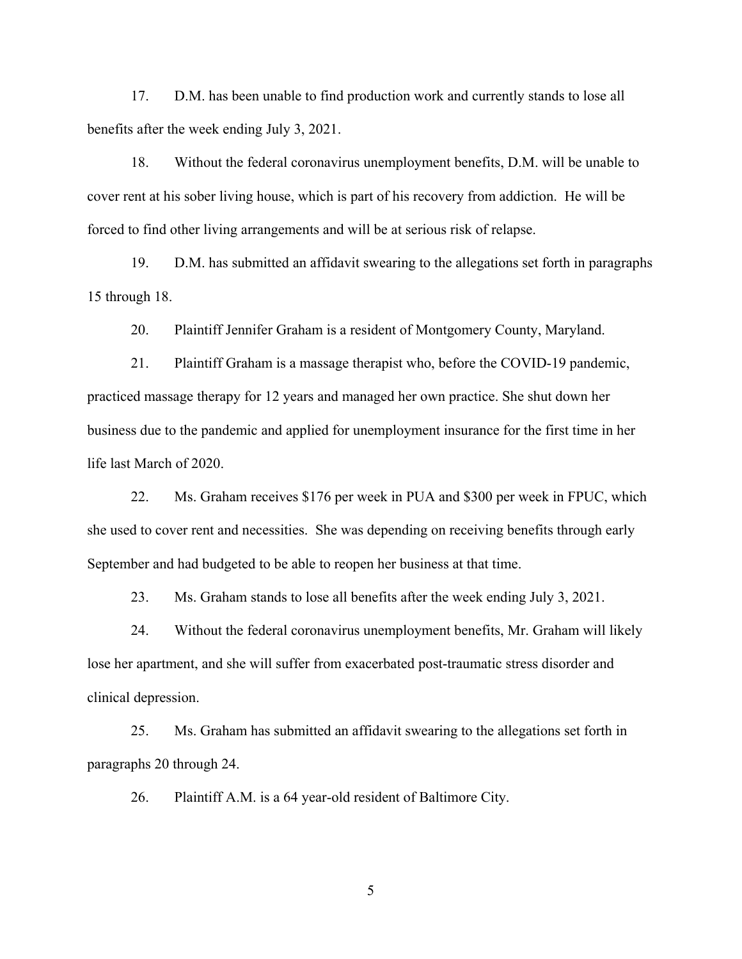17. D.M. has been unable to find production work and currently stands to lose all benefits after the week ending July 3, 2021.

18. Without the federal coronavirus unemployment benefits, D.M. will be unable to cover rent at his sober living house, which is part of his recovery from addiction. He will be forced to find other living arrangements and will be at serious risk of relapse.

19. D.M. has submitted an affidavit swearing to the allegations set forth in paragraphs 15 through 18.

20. Plaintiff Jennifer Graham is a resident of Montgomery County, Maryland.

21. Plaintiff Graham is a massage therapist who, before the COVID-19 pandemic, practiced massage therapy for 12 years and managed her own practice. She shut down her business due to the pandemic and applied for unemployment insurance for the first time in her life last March of 2020.

22. Ms. Graham receives \$176 per week in PUA and \$300 per week in FPUC, which she used to cover rent and necessities. She was depending on receiving benefits through early September and had budgeted to be able to reopen her business at that time.

23. Ms. Graham stands to lose all benefits after the week ending July 3, 2021.

24. Without the federal coronavirus unemployment benefits, Mr. Graham will likely lose her apartment, and she will suffer from exacerbated post-traumatic stress disorder and clinical depression.

25. Ms. Graham has submitted an affidavit swearing to the allegations set forth in paragraphs 20 through 24.

26. Plaintiff A.M. is a 64 year-old resident of Baltimore City.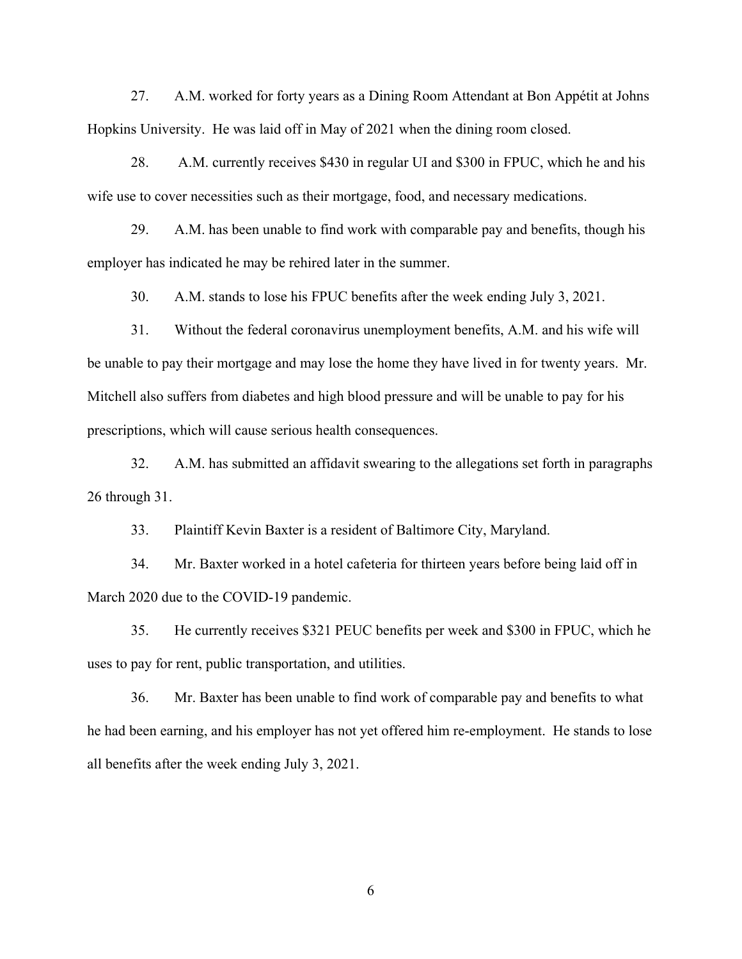27. A.M. worked for forty years as a Dining Room Attendant at Bon Appétit at Johns Hopkins University. He was laid off in May of 2021 when the dining room closed.

28. A.M. currently receives \$430 in regular UI and \$300 in FPUC, which he and his wife use to cover necessities such as their mortgage, food, and necessary medications.

29. A.M. has been unable to find work with comparable pay and benefits, though his employer has indicated he may be rehired later in the summer.

30. A.M. stands to lose his FPUC benefits after the week ending July 3, 2021.

31. Without the federal coronavirus unemployment benefits, A.M. and his wife will be unable to pay their mortgage and may lose the home they have lived in for twenty years. Mr. Mitchell also suffers from diabetes and high blood pressure and will be unable to pay for his prescriptions, which will cause serious health consequences.

32. A.M. has submitted an affidavit swearing to the allegations set forth in paragraphs 26 through 31.

33. Plaintiff Kevin Baxter is a resident of Baltimore City, Maryland.

34. Mr. Baxter worked in a hotel cafeteria for thirteen years before being laid off in March 2020 due to the COVID-19 pandemic.

35. He currently receives \$321 PEUC benefits per week and \$300 in FPUC, which he uses to pay for rent, public transportation, and utilities.

36. Mr. Baxter has been unable to find work of comparable pay and benefits to what he had been earning, and his employer has not yet offered him re-employment. He stands to lose all benefits after the week ending July 3, 2021.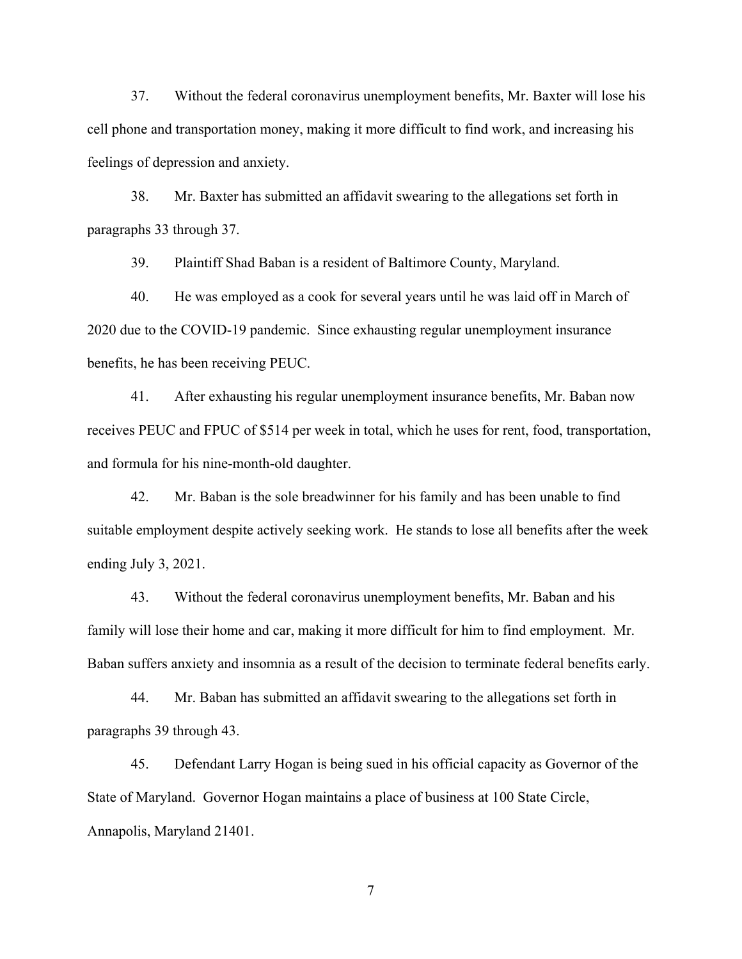37. Without the federal coronavirus unemployment benefits, Mr. Baxter will lose his cell phone and transportation money, making it more difficult to find work, and increasing his feelings of depression and anxiety.

38. Mr. Baxter has submitted an affidavit swearing to the allegations set forth in paragraphs 33 through 37.

39. Plaintiff Shad Baban is a resident of Baltimore County, Maryland.

40. He was employed as a cook for several years until he was laid off in March of 2020 due to the COVID-19 pandemic. Since exhausting regular unemployment insurance benefits, he has been receiving PEUC.

41. After exhausting his regular unemployment insurance benefits, Mr. Baban now receives PEUC and FPUC of \$514 per week in total, which he uses for rent, food, transportation, and formula for his nine-month-old daughter.

42. Mr. Baban is the sole breadwinner for his family and has been unable to find suitable employment despite actively seeking work. He stands to lose all benefits after the week ending July 3, 2021.

43. Without the federal coronavirus unemployment benefits, Mr. Baban and his family will lose their home and car, making it more difficult for him to find employment. Mr. Baban suffers anxiety and insomnia as a result of the decision to terminate federal benefits early.

44. Mr. Baban has submitted an affidavit swearing to the allegations set forth in paragraphs 39 through 43.

45. Defendant Larry Hogan is being sued in his official capacity as Governor of the State of Maryland. Governor Hogan maintains a place of business at 100 State Circle, Annapolis, Maryland 21401.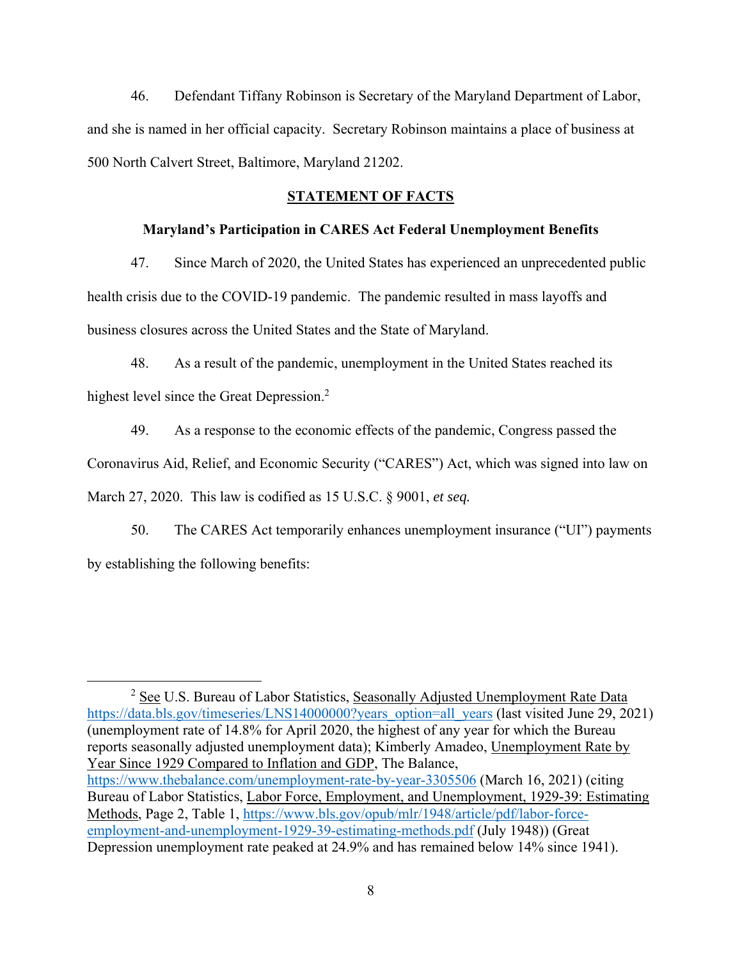46. Defendant Tiffany Robinson is Secretary of the Maryland Department of Labor, and she is named in her official capacity. Secretary Robinson maintains a place of business at 500 North Calvert Street, Baltimore, Maryland 21202.

### **STATEMENT OF FACTS**

### **Maryland's Participation in CARES Act Federal Unemployment Benefits**

47. Since March of 2020, the United States has experienced an unprecedented public health crisis due to the COVID-19 pandemic. The pandemic resulted in mass layoffs and business closures across the United States and the State of Maryland.

48. As a result of the pandemic, unemployment in the United States reached its highest level since the Great Depression.<sup>2</sup>

49. As a response to the economic effects of the pandemic, Congress passed the

Coronavirus Aid, Relief, and Economic Security ("CARES") Act, which was signed into law on

March 27, 2020. This law is codified as 15 U.S.C. § 9001, *et seq.*

50. The CARES Act temporarily enhances unemployment insurance ("UI") payments by establishing the following benefits:

 $\overline{\phantom{a}}$  2  $2$  See U.S. Bureau of Labor Statistics, Seasonally Adjusted Unemployment Rate Data https://data.bls.gov/timeseries/LNS14000000?years\_option=all\_years (last visited June 29, 2021) (unemployment rate of 14.8% for April 2020, the highest of any year for which the Bureau reports seasonally adjusted unemployment data); Kimberly Amadeo, Unemployment Rate by Year Since 1929 Compared to Inflation and GDP, The Balance, https://www.thebalance.com/unemployment-rate-by-year-3305506 (March 16, 2021) (citing Bureau of Labor Statistics, Labor Force, Employment, and Unemployment, 1929-39: Estimating Methods, Page 2, Table 1, https://www.bls.gov/opub/mlr/1948/article/pdf/labor-forceemployment-and-unemployment-1929-39-estimating-methods.pdf (July 1948)) (Great Depression unemployment rate peaked at 24.9% and has remained below 14% since 1941).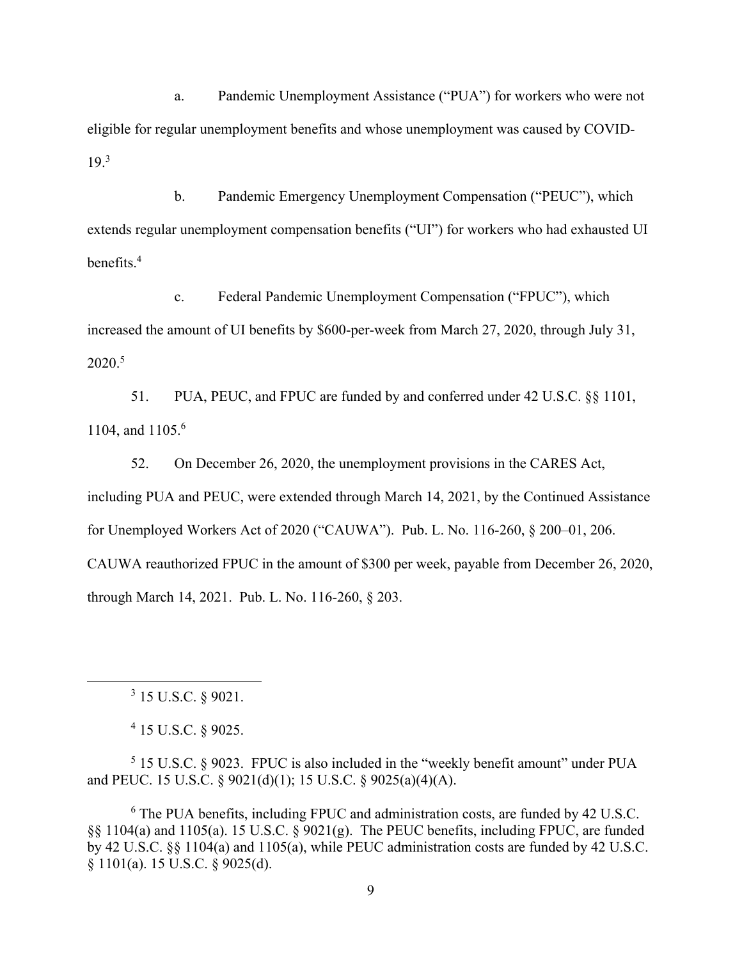a. Pandemic Unemployment Assistance ("PUA") for workers who were not eligible for regular unemployment benefits and whose unemployment was caused by COVID-19.<sup>3</sup>

b. Pandemic Emergency Unemployment Compensation ("PEUC"), which extends regular unemployment compensation benefits ("UI") for workers who had exhausted UI benefits.4

c. Federal Pandemic Unemployment Compensation ("FPUC"), which increased the amount of UI benefits by \$600-per-week from March 27, 2020, through July 31, 2020.5

51. PUA, PEUC, and FPUC are funded by and conferred under 42 U.S.C. §§ 1101, 1104, and 1105.<sup>6</sup>

52. On December 26, 2020, the unemployment provisions in the CARES Act, including PUA and PEUC, were extended through March 14, 2021, by the Continued Assistance for Unemployed Workers Act of 2020 ("CAUWA"). Pub. L. No. 116-260, § 200–01, 206. CAUWA reauthorized FPUC in the amount of \$300 per week, payable from December 26, 2020, through March 14, 2021. Pub. L. No. 116-260, § 203.

 $\overline{\phantom{a}}$  $3$  15 U.S.C.  $8$  9021.

4 15 U.S.C. § 9025.

 $5$  15 U.S.C. § 9023. FPUC is also included in the "weekly benefit amount" under PUA and PEUC. 15 U.S.C. § 9021(d)(1); 15 U.S.C. § 9025(a)(4)(A).

<sup>6</sup> The PUA benefits, including FPUC and administration costs, are funded by 42 U.S.C. §§ 1104(a) and 1105(a). 15 U.S.C. § 9021(g). The PEUC benefits, including FPUC, are funded by 42 U.S.C. §§ 1104(a) and 1105(a), while PEUC administration costs are funded by 42 U.S.C. § 1101(a). 15 U.S.C. § 9025(d).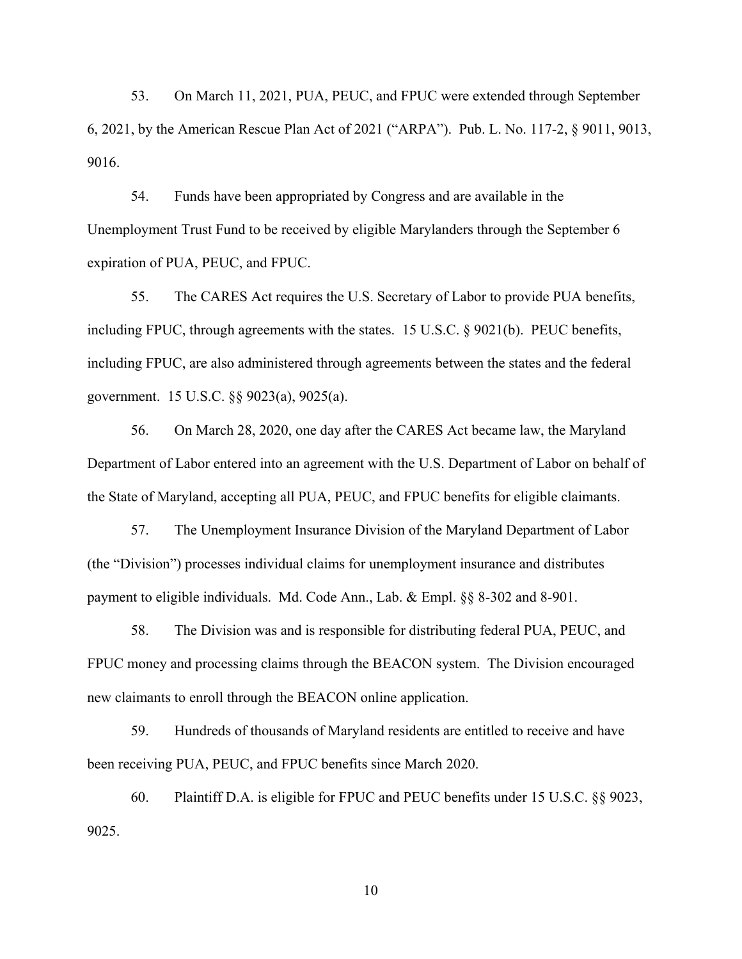53. On March 11, 2021, PUA, PEUC, and FPUC were extended through September 6, 2021, by the American Rescue Plan Act of 2021 ("ARPA"). Pub. L. No. 117-2, § 9011, 9013, 9016.

54. Funds have been appropriated by Congress and are available in the Unemployment Trust Fund to be received by eligible Marylanders through the September 6 expiration of PUA, PEUC, and FPUC.

55. The CARES Act requires the U.S. Secretary of Labor to provide PUA benefits, including FPUC, through agreements with the states. 15 U.S.C. § 9021(b). PEUC benefits, including FPUC, are also administered through agreements between the states and the federal government. 15 U.S.C. §§ 9023(a), 9025(a).

56. On March 28, 2020, one day after the CARES Act became law, the Maryland Department of Labor entered into an agreement with the U.S. Department of Labor on behalf of the State of Maryland, accepting all PUA, PEUC, and FPUC benefits for eligible claimants.

57. The Unemployment Insurance Division of the Maryland Department of Labor (the "Division") processes individual claims for unemployment insurance and distributes payment to eligible individuals. Md. Code Ann., Lab. & Empl. §§ 8-302 and 8-901.

58. The Division was and is responsible for distributing federal PUA, PEUC, and FPUC money and processing claims through the BEACON system. The Division encouraged new claimants to enroll through the BEACON online application.

59. Hundreds of thousands of Maryland residents are entitled to receive and have been receiving PUA, PEUC, and FPUC benefits since March 2020.

60. Plaintiff D.A. is eligible for FPUC and PEUC benefits under 15 U.S.C. §§ 9023, 9025.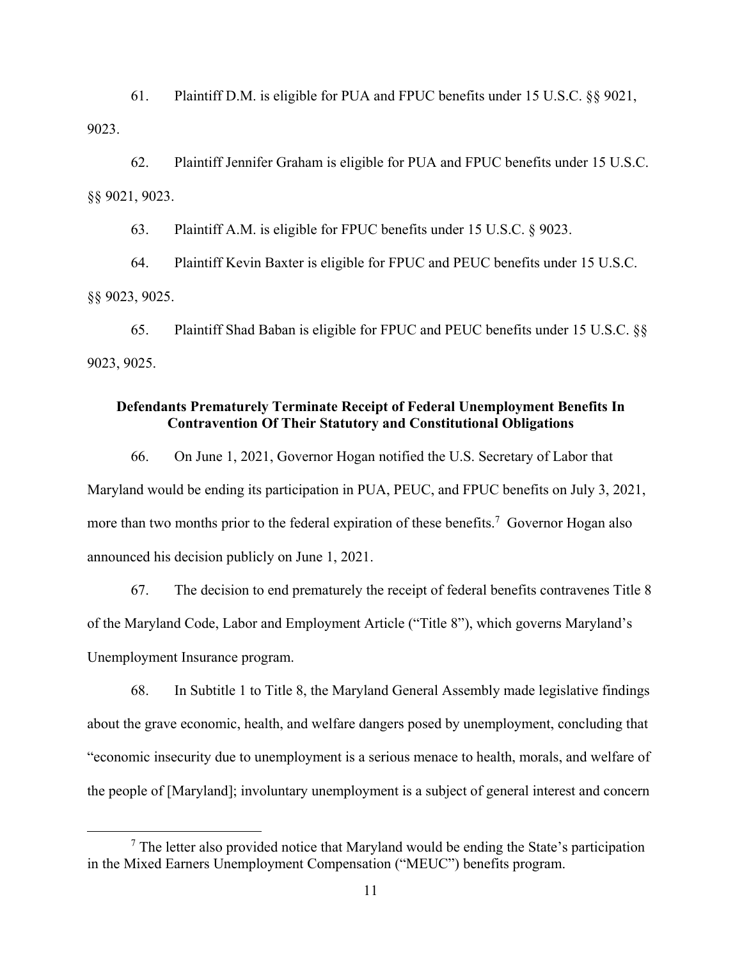61. Plaintiff D.M. is eligible for PUA and FPUC benefits under 15 U.S.C. §§ 9021, 9023.

62. Plaintiff Jennifer Graham is eligible for PUA and FPUC benefits under 15 U.S.C. §§ 9021, 9023.

63. Plaintiff A.M. is eligible for FPUC benefits under 15 U.S.C. § 9023.

64. Plaintiff Kevin Baxter is eligible for FPUC and PEUC benefits under 15 U.S.C. §§ 9023, 9025.

65. Plaintiff Shad Baban is eligible for FPUC and PEUC benefits under 15 U.S.C. §§ 9023, 9025.

## **Defendants Prematurely Terminate Receipt of Federal Unemployment Benefits In Contravention Of Their Statutory and Constitutional Obligations**

66. On June 1, 2021, Governor Hogan notified the U.S. Secretary of Labor that Maryland would be ending its participation in PUA, PEUC, and FPUC benefits on July 3, 2021, more than two months prior to the federal expiration of these benefits.<sup>7</sup> Governor Hogan also announced his decision publicly on June 1, 2021.

67. The decision to end prematurely the receipt of federal benefits contravenes Title 8 of the Maryland Code, Labor and Employment Article ("Title 8"), which governs Maryland's Unemployment Insurance program.

68. In Subtitle 1 to Title 8, the Maryland General Assembly made legislative findings about the grave economic, health, and welfare dangers posed by unemployment, concluding that "economic insecurity due to unemployment is a serious menace to health, morals, and welfare of the people of [Maryland]; involuntary unemployment is a subject of general interest and concern

 $\overline{7}$  $\frac{7}{7}$  The letter also provided notice that Maryland would be ending the State's participation in the Mixed Earners Unemployment Compensation ("MEUC") benefits program.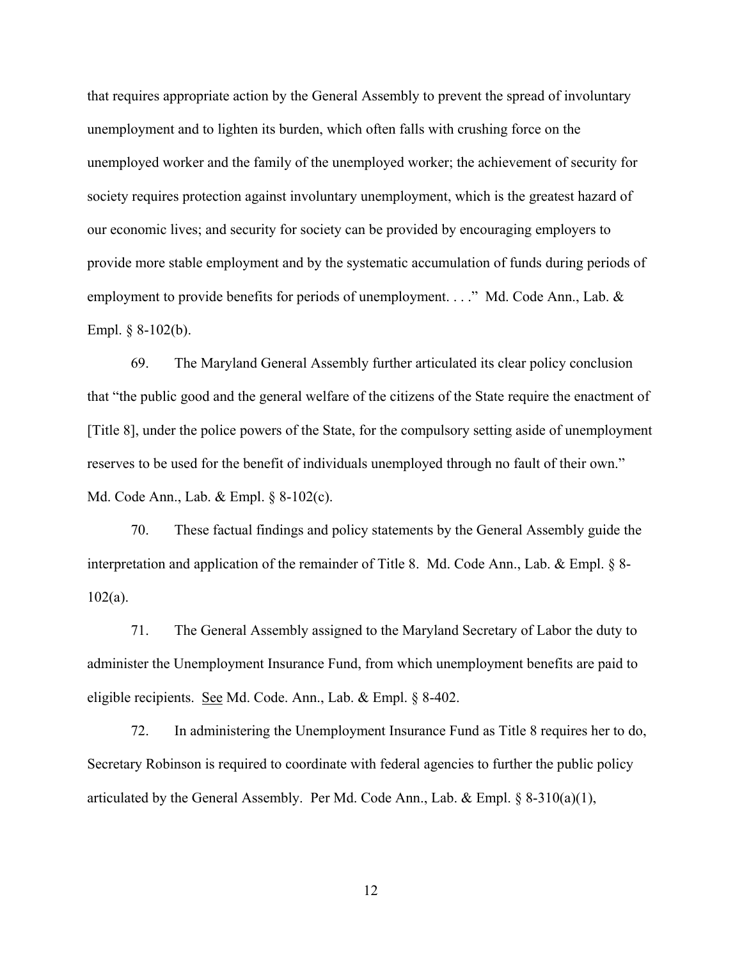that requires appropriate action by the General Assembly to prevent the spread of involuntary unemployment and to lighten its burden, which often falls with crushing force on the unemployed worker and the family of the unemployed worker; the achievement of security for society requires protection against involuntary unemployment, which is the greatest hazard of our economic lives; and security for society can be provided by encouraging employers to provide more stable employment and by the systematic accumulation of funds during periods of employment to provide benefits for periods of unemployment. . . ." Md. Code Ann., Lab. & Empl.  $§ 8-102(b)$ .

69. The Maryland General Assembly further articulated its clear policy conclusion that "the public good and the general welfare of the citizens of the State require the enactment of [Title 8], under the police powers of the State, for the compulsory setting aside of unemployment reserves to be used for the benefit of individuals unemployed through no fault of their own." Md. Code Ann., Lab. & Empl. § 8-102(c).

70. These factual findings and policy statements by the General Assembly guide the interpretation and application of the remainder of Title 8. Md. Code Ann., Lab. & Empl. § 8- 102(a).

71. The General Assembly assigned to the Maryland Secretary of Labor the duty to administer the Unemployment Insurance Fund, from which unemployment benefits are paid to eligible recipients. See Md. Code. Ann., Lab. & Empl. § 8-402.

72. In administering the Unemployment Insurance Fund as Title 8 requires her to do, Secretary Robinson is required to coordinate with federal agencies to further the public policy articulated by the General Assembly. Per Md. Code Ann., Lab. & Empl. § 8-310(a)(1),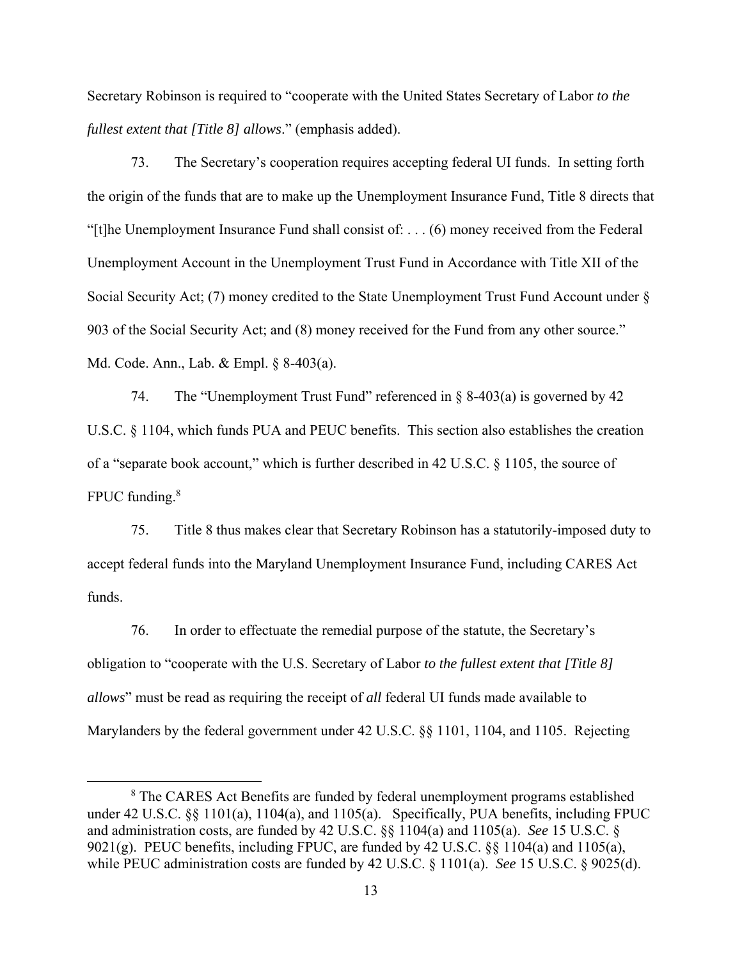Secretary Robinson is required to "cooperate with the United States Secretary of Labor *to the fullest extent that [Title 8] allows*." (emphasis added).

73. The Secretary's cooperation requires accepting federal UI funds. In setting forth the origin of the funds that are to make up the Unemployment Insurance Fund, Title 8 directs that "[t]he Unemployment Insurance Fund shall consist of: . . . (6) money received from the Federal Unemployment Account in the Unemployment Trust Fund in Accordance with Title XII of the Social Security Act; (7) money credited to the State Unemployment Trust Fund Account under § 903 of the Social Security Act; and (8) money received for the Fund from any other source." Md. Code. Ann., Lab. & Empl. § 8-403(a).

74. The "Unemployment Trust Fund" referenced in § 8-403(a) is governed by 42 U.S.C. § 1104, which funds PUA and PEUC benefits. This section also establishes the creation of a "separate book account," which is further described in 42 U.S.C. § 1105, the source of FPUC funding.<sup>8</sup>

75. Title 8 thus makes clear that Secretary Robinson has a statutorily-imposed duty to accept federal funds into the Maryland Unemployment Insurance Fund, including CARES Act funds.

76. In order to effectuate the remedial purpose of the statute, the Secretary's obligation to "cooperate with the U.S. Secretary of Labor *to the fullest extent that [Title 8] allows*" must be read as requiring the receipt of *all* federal UI funds made available to Marylanders by the federal government under 42 U.S.C. §§ 1101, 1104, and 1105. Rejecting

 <sup>8</sup> <sup>8</sup> The CARES Act Benefits are funded by federal unemployment programs established under 42 U.S.C. §§ 1101(a), 1104(a), and 1105(a). Specifically, PUA benefits, including FPUC and administration costs, are funded by 42 U.S.C. §§ 1104(a) and 1105(a). *See* 15 U.S.C. § 9021(g). PEUC benefits, including FPUC, are funded by 42 U.S.C. §§ 1104(a) and 1105(a), while PEUC administration costs are funded by 42 U.S.C. § 1101(a). *See* 15 U.S.C. § 9025(d).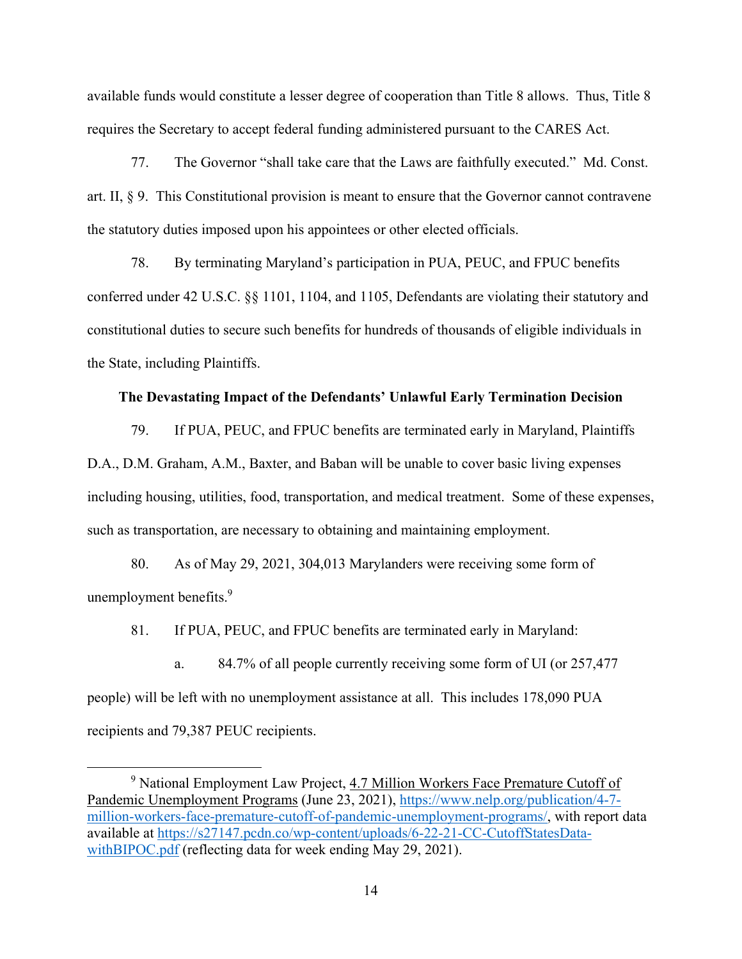available funds would constitute a lesser degree of cooperation than Title 8 allows. Thus, Title 8 requires the Secretary to accept federal funding administered pursuant to the CARES Act.

77. The Governor "shall take care that the Laws are faithfully executed." Md. Const. art. II, § 9. This Constitutional provision is meant to ensure that the Governor cannot contravene the statutory duties imposed upon his appointees or other elected officials.

78. By terminating Maryland's participation in PUA, PEUC, and FPUC benefits conferred under 42 U.S.C. §§ 1101, 1104, and 1105, Defendants are violating their statutory and constitutional duties to secure such benefits for hundreds of thousands of eligible individuals in the State, including Plaintiffs.

#### **The Devastating Impact of the Defendants' Unlawful Early Termination Decision**

79. If PUA, PEUC, and FPUC benefits are terminated early in Maryland, Plaintiffs D.A., D.M. Graham, A.M., Baxter, and Baban will be unable to cover basic living expenses including housing, utilities, food, transportation, and medical treatment. Some of these expenses, such as transportation, are necessary to obtaining and maintaining employment.

80. As of May 29, 2021, 304,013 Marylanders were receiving some form of unemployment benefits.<sup>9</sup>

81. If PUA, PEUC, and FPUC benefits are terminated early in Maryland:

a. 84.7% of all people currently receiving some form of UI (or 257,477 people) will be left with no unemployment assistance at all. This includes 178,090 PUA recipients and 79,387 PEUC recipients.

 $\frac{1}{9}$ <sup>9</sup> National Employment Law Project, 4.7 Million Workers Face Premature Cutoff of Pandemic Unemployment Programs (June 23, 2021), https://www.nelp.org/publication/4-7 million-workers-face-premature-cutoff-of-pandemic-unemployment-programs/, with report data available at https://s27147.pcdn.co/wp-content/uploads/6-22-21-CC-CutoffStatesDatawithBIPOC.pdf (reflecting data for week ending May 29, 2021).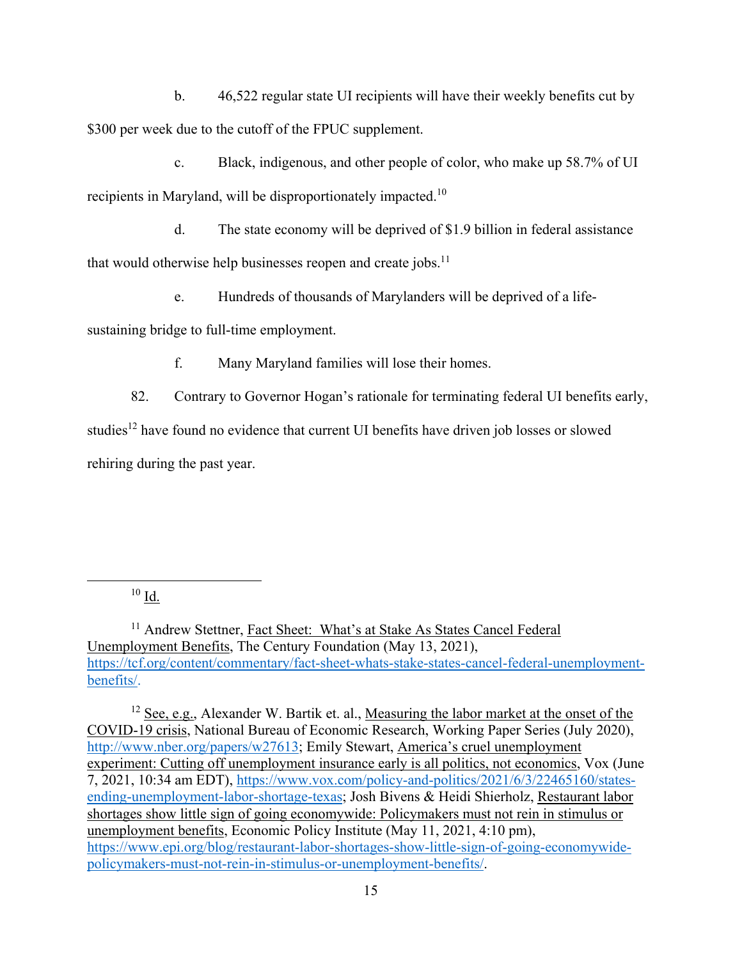b. 46,522 regular state UI recipients will have their weekly benefits cut by \$300 per week due to the cutoff of the FPUC supplement.

c. Black, indigenous, and other people of color, who make up 58.7% of UI recipients in Maryland, will be disproportionately impacted.10

d. The state economy will be deprived of \$1.9 billion in federal assistance that would otherwise help businesses reopen and create jobs. $<sup>11</sup>$ </sup>

e. Hundreds of thousands of Marylanders will be deprived of a life-

sustaining bridge to full-time employment.

f. Many Maryland families will lose their homes.

82. Contrary to Governor Hogan's rationale for terminating federal UI benefits early, studies<sup>12</sup> have found no evidence that current UI benefits have driven job losses or slowed rehiring during the past year.

 $10$  Id.

<sup>11</sup> Andrew Stettner, Fact Sheet: What's at Stake As States Cancel Federal Unemployment Benefits, The Century Foundation (May 13, 2021), https://tcf.org/content/commentary/fact-sheet-whats-stake-states-cancel-federal-unemploymentbenefits/.

 $12$  See, e.g., Alexander W. Bartik et. al., Measuring the labor market at the onset of the COVID-19 crisis, National Bureau of Economic Research, Working Paper Series (July 2020), http://www.nber.org/papers/w27613; Emily Stewart, America's cruel unemployment experiment: Cutting off unemployment insurance early is all politics, not economics, Vox (June 7, 2021, 10:34 am EDT), https://www.vox.com/policy-and-politics/2021/6/3/22465160/statesending-unemployment-labor-shortage-texas; Josh Bivens & Heidi Shierholz, Restaurant labor shortages show little sign of going economywide: Policymakers must not rein in stimulus or unemployment benefits, Economic Policy Institute (May 11, 2021, 4:10 pm), https://www.epi.org/blog/restaurant-labor-shortages-show-little-sign-of-going-economywidepolicymakers-must-not-rein-in-stimulus-or-unemployment-benefits/.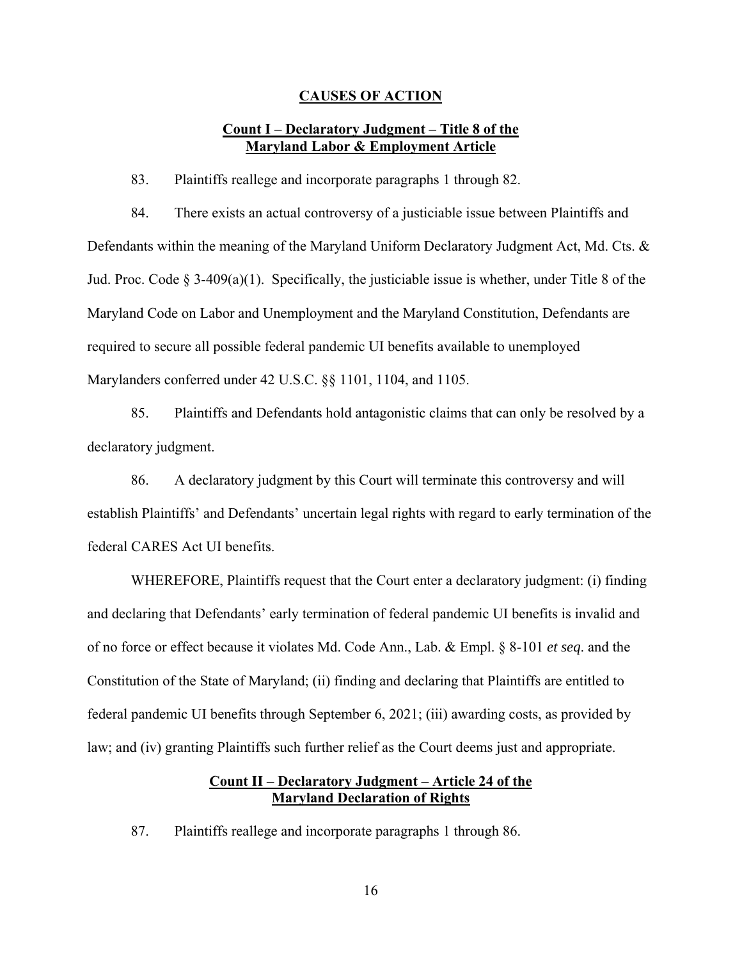#### **CAUSES OF ACTION**

## **Count I – Declaratory Judgment – Title 8 of the Maryland Labor & Employment Article**

83. Plaintiffs reallege and incorporate paragraphs 1 through 82.

84. There exists an actual controversy of a justiciable issue between Plaintiffs and Defendants within the meaning of the Maryland Uniform Declaratory Judgment Act, Md. Cts. & Jud. Proc. Code  $\S 3-409(a)(1)$ . Specifically, the justiciable issue is whether, under Title 8 of the Maryland Code on Labor and Unemployment and the Maryland Constitution, Defendants are required to secure all possible federal pandemic UI benefits available to unemployed Marylanders conferred under 42 U.S.C. §§ 1101, 1104, and 1105.

85. Plaintiffs and Defendants hold antagonistic claims that can only be resolved by a declaratory judgment.

86. A declaratory judgment by this Court will terminate this controversy and will establish Plaintiffs' and Defendants' uncertain legal rights with regard to early termination of the federal CARES Act UI benefits.

WHEREFORE, Plaintiffs request that the Court enter a declaratory judgment: (i) finding and declaring that Defendants' early termination of federal pandemic UI benefits is invalid and of no force or effect because it violates Md. Code Ann., Lab. & Empl. § 8-101 *et seq*. and the Constitution of the State of Maryland; (ii) finding and declaring that Plaintiffs are entitled to federal pandemic UI benefits through September 6, 2021; (iii) awarding costs, as provided by law; and (iv) granting Plaintiffs such further relief as the Court deems just and appropriate.

## **Count II – Declaratory Judgment – Article 24 of the Maryland Declaration of Rights**

87. Plaintiffs reallege and incorporate paragraphs 1 through 86.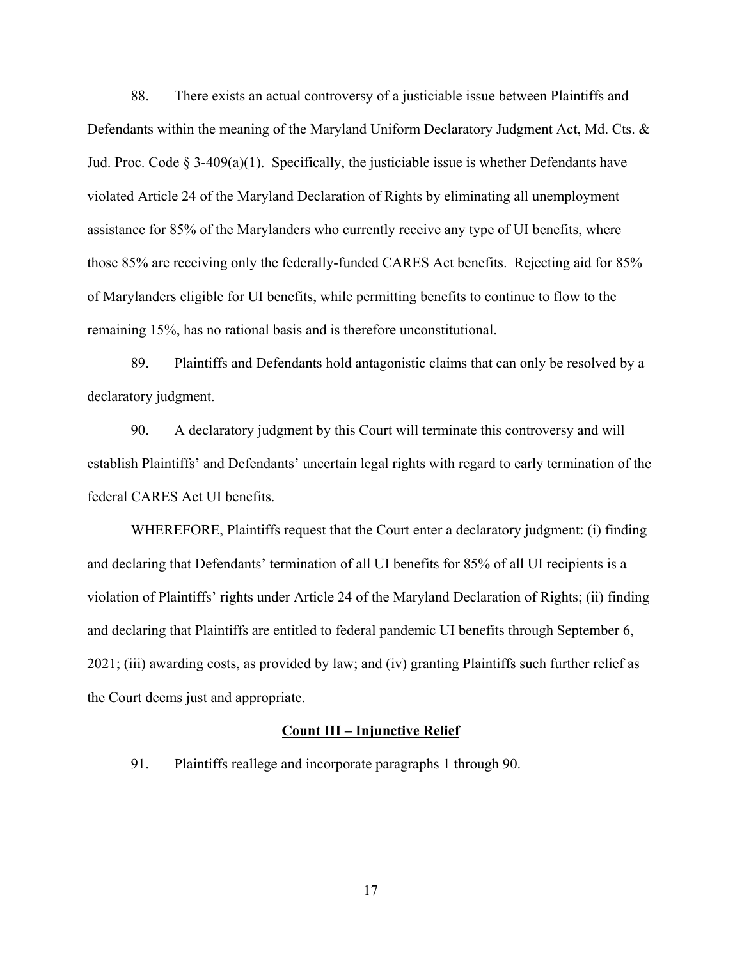88. There exists an actual controversy of a justiciable issue between Plaintiffs and Defendants within the meaning of the Maryland Uniform Declaratory Judgment Act, Md. Cts. & Jud. Proc. Code  $\S$  3-409(a)(1). Specifically, the justiciable issue is whether Defendants have violated Article 24 of the Maryland Declaration of Rights by eliminating all unemployment assistance for 85% of the Marylanders who currently receive any type of UI benefits, where those 85% are receiving only the federally-funded CARES Act benefits. Rejecting aid for 85% of Marylanders eligible for UI benefits, while permitting benefits to continue to flow to the remaining 15%, has no rational basis and is therefore unconstitutional.

89. Plaintiffs and Defendants hold antagonistic claims that can only be resolved by a declaratory judgment.

90. A declaratory judgment by this Court will terminate this controversy and will establish Plaintiffs' and Defendants' uncertain legal rights with regard to early termination of the federal CARES Act UI benefits.

WHEREFORE, Plaintiffs request that the Court enter a declaratory judgment: (i) finding and declaring that Defendants' termination of all UI benefits for 85% of all UI recipients is a violation of Plaintiffs' rights under Article 24 of the Maryland Declaration of Rights; (ii) finding and declaring that Plaintiffs are entitled to federal pandemic UI benefits through September 6, 2021; (iii) awarding costs, as provided by law; and (iv) granting Plaintiffs such further relief as the Court deems just and appropriate.

#### **Count III – Injunctive Relief**

91. Plaintiffs reallege and incorporate paragraphs 1 through 90.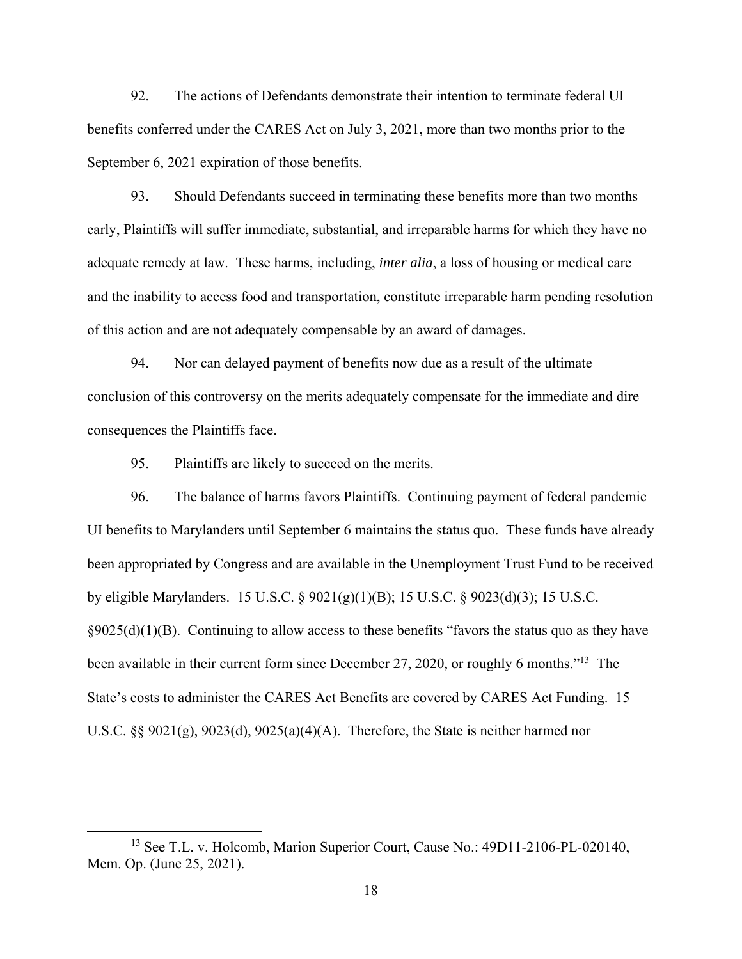92. The actions of Defendants demonstrate their intention to terminate federal UI benefits conferred under the CARES Act on July 3, 2021, more than two months prior to the September 6, 2021 expiration of those benefits.

93. Should Defendants succeed in terminating these benefits more than two months early, Plaintiffs will suffer immediate, substantial, and irreparable harms for which they have no adequate remedy at law. These harms, including, *inter alia*, a loss of housing or medical care and the inability to access food and transportation, constitute irreparable harm pending resolution of this action and are not adequately compensable by an award of damages.

94. Nor can delayed payment of benefits now due as a result of the ultimate conclusion of this controversy on the merits adequately compensate for the immediate and dire consequences the Plaintiffs face.

95. Plaintiffs are likely to succeed on the merits.

96. The balance of harms favors Plaintiffs. Continuing payment of federal pandemic UI benefits to Marylanders until September 6 maintains the status quo. These funds have already been appropriated by Congress and are available in the Unemployment Trust Fund to be received by eligible Marylanders. 15 U.S.C. § 9021(g)(1)(B); 15 U.S.C. § 9023(d)(3); 15 U.S.C.  $\S 9025(d)(1)(B)$ . Continuing to allow access to these benefits "favors the status quo as they have been available in their current form since December 27, 2020, or roughly 6 months."<sup>13</sup> The State's costs to administer the CARES Act Benefits are covered by CARES Act Funding. 15 U.S.C. §§  $9021(g)$ ,  $9023(d)$ ,  $9025(a)(4)(A)$ . Therefore, the State is neither harmed nor

<sup>&</sup>lt;sup>13</sup> See T.L. v. Holcomb, Marion Superior Court, Cause No.: 49D11-2106-PL-020140, Mem. Op. (June 25, 2021).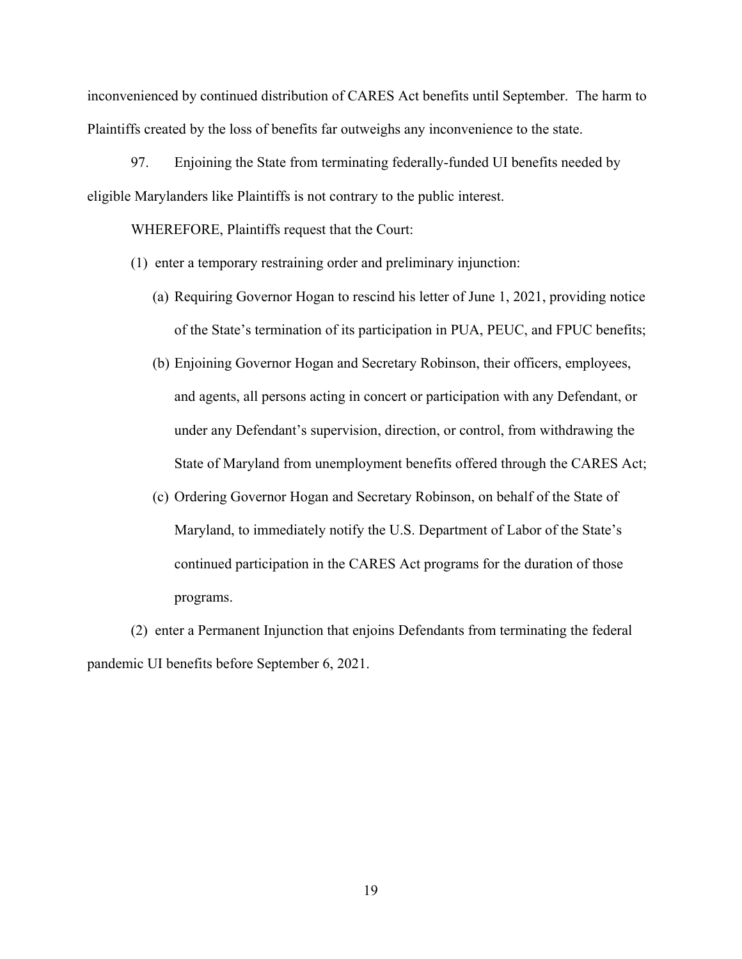inconvenienced by continued distribution of CARES Act benefits until September. The harm to Plaintiffs created by the loss of benefits far outweighs any inconvenience to the state.

97. Enjoining the State from terminating federally-funded UI benefits needed by eligible Marylanders like Plaintiffs is not contrary to the public interest.

WHEREFORE, Plaintiffs request that the Court:

(1) enter a temporary restraining order and preliminary injunction:

- (a) Requiring Governor Hogan to rescind his letter of June 1, 2021, providing notice of the State's termination of its participation in PUA, PEUC, and FPUC benefits;
- (b) Enjoining Governor Hogan and Secretary Robinson, their officers, employees, and agents, all persons acting in concert or participation with any Defendant, or under any Defendant's supervision, direction, or control, from withdrawing the State of Maryland from unemployment benefits offered through the CARES Act;
- (c) Ordering Governor Hogan and Secretary Robinson, on behalf of the State of Maryland, to immediately notify the U.S. Department of Labor of the State's continued participation in the CARES Act programs for the duration of those programs.

(2) enter a Permanent Injunction that enjoins Defendants from terminating the federal pandemic UI benefits before September 6, 2021.